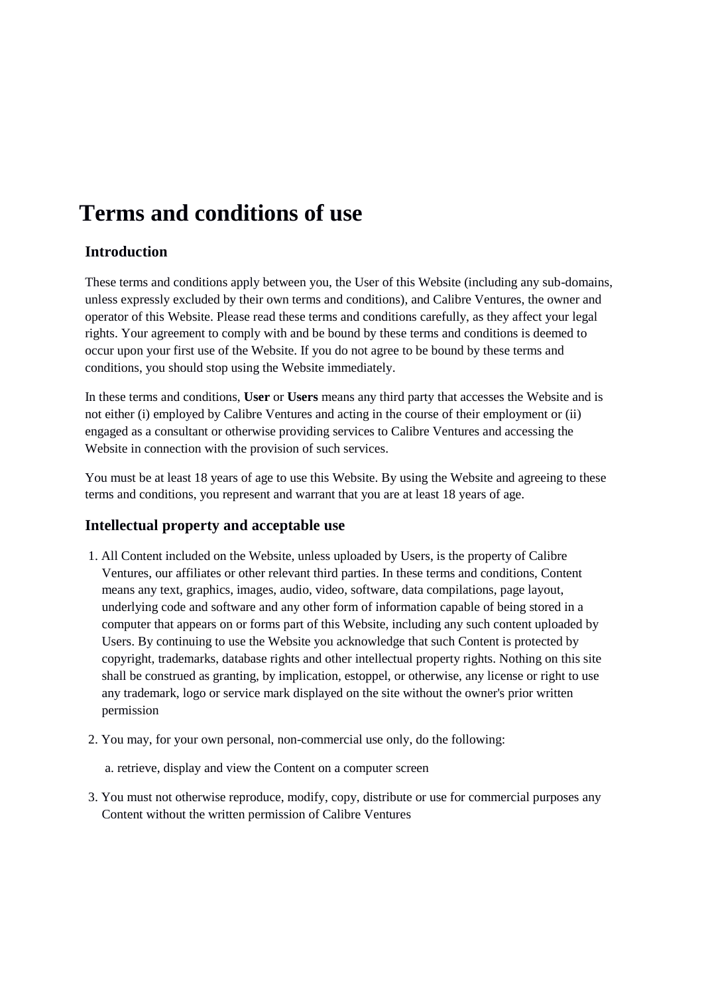# **Terms and conditions of use**

# **Introduction**

These terms and conditions apply between you, the User of this Website (including any sub-domains, unless expressly excluded by their own terms and conditions), and Calibre Ventures, the owner and operator of this Website. Please read these terms and conditions carefully, as they affect your legal rights. Your agreement to comply with and be bound by these terms and conditions is deemed to occur upon your first use of the Website. If you do not agree to be bound by these terms and conditions, you should stop using the Website immediately.

In these terms and conditions, **User** or **Users** means any third party that accesses the Website and is not either (i) employed by Calibre Ventures and acting in the course of their employment or (ii) engaged as a consultant or otherwise providing services to Calibre Ventures and accessing the Website in connection with the provision of such services.

You must be at least 18 years of age to use this Website. By using the Website and agreeing to these terms and conditions, you represent and warrant that you are at least 18 years of age.

### **Intellectual property and acceptable use**

- 1. All Content included on the Website, unless uploaded by Users, is the property of Calibre Ventures, our affiliates or other relevant third parties. In these terms and conditions, Content means any text, graphics, images, audio, video, software, data compilations, page layout, underlying code and software and any other form of information capable of being stored in a computer that appears on or forms part of this Website, including any such content uploaded by Users. By continuing to use the Website you acknowledge that such Content is protected by copyright, trademarks, database rights and other intellectual property rights. Nothing on this site shall be construed as granting, by implication, estoppel, or otherwise, any license or right to use any trademark, logo or service mark displayed on the site without the owner's prior written permission
- 2. You may, for your own personal, non-commercial use only, do the following:

a. retrieve, display and view the Content on a computer screen

3. You must not otherwise reproduce, modify, copy, distribute or use for commercial purposes any Content without the written permission of Calibre Ventures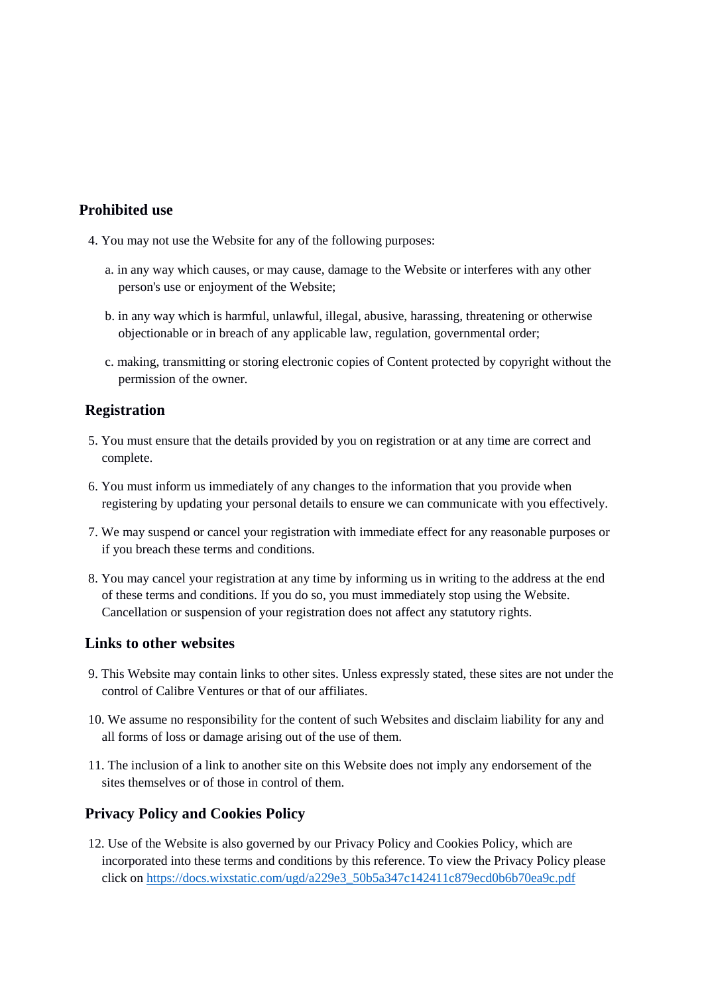# **Prohibited use**

- 4. You may not use the Website for any of the following purposes:
	- a. in any way which causes, or may cause, damage to the Website or interferes with any other person's use or enjoyment of the Website;
	- b. in any way which is harmful, unlawful, illegal, abusive, harassing, threatening or otherwise objectionable or in breach of any applicable law, regulation, governmental order;
	- c. making, transmitting or storing electronic copies of Content protected by copyright without the permission of the owner.

### **Registration**

- 5. You must ensure that the details provided by you on registration or at any time are correct and complete.
- 6. You must inform us immediately of any changes to the information that you provide when registering by updating your personal details to ensure we can communicate with you effectively.
- 7. We may suspend or cancel your registration with immediate effect for any reasonable purposes or if you breach these terms and conditions.
- 8. You may cancel your registration at any time by informing us in writing to the address at the end of these terms and conditions. If you do so, you must immediately stop using the Website. Cancellation or suspension of your registration does not affect any statutory rights.

#### **Links to other websites**

- 9. This Website may contain links to other sites. Unless expressly stated, these sites are not under the control of Calibre Ventures or that of our affiliates.
- 10. We assume no responsibility for the content of such Websites and disclaim liability for any and all forms of loss or damage arising out of the use of them.
- 11. The inclusion of a link to another site on this Website does not imply any endorsement of the sites themselves or of those in control of them.

### **Privacy Policy and Cookies Policy**

12. Use of the Website is also governed by our Privacy Policy and Cookies Policy, which are incorporated into these terms and conditions by this reference. To view the Privacy Policy please click on [https://docs.wixstatic.com/ugd/a229e3\\_50b5a347c142411c879ecd0b6b70ea9c.pdf](https://docs.wixstatic.com/ugd/a229e3_50b5a347c142411c879ecd0b6b70ea9c.pdf)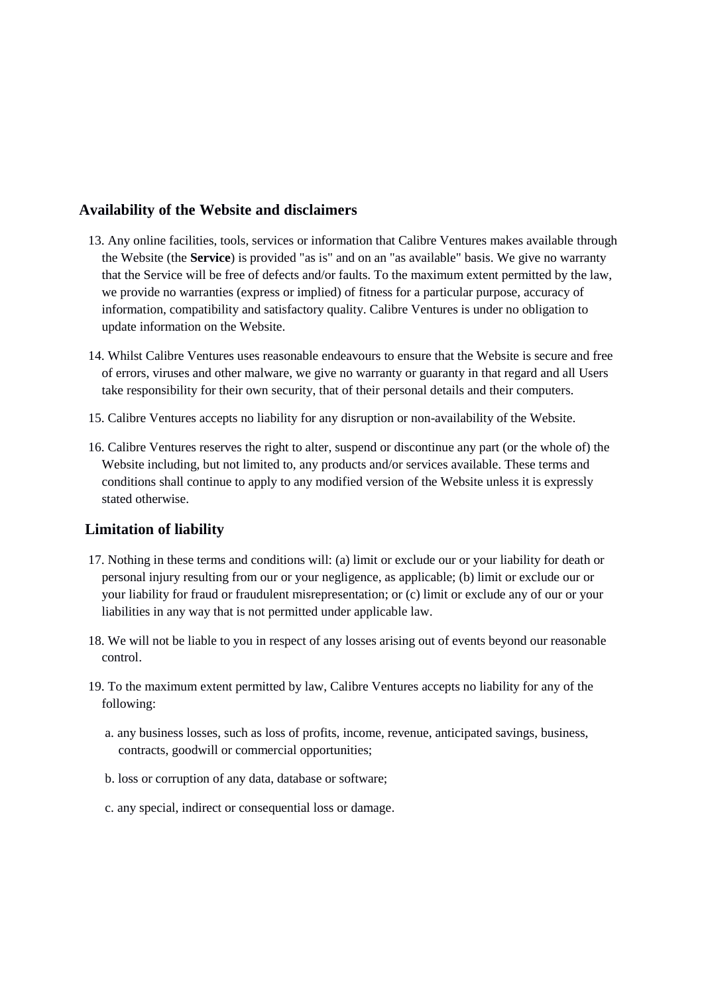#### **Availability of the Website and disclaimers**

- 13. Any online facilities, tools, services or information that Calibre Ventures makes available through the Website (the **Service**) is provided "as is" and on an "as available" basis. We give no warranty that the Service will be free of defects and/or faults. To the maximum extent permitted by the law, we provide no warranties (express or implied) of fitness for a particular purpose, accuracy of information, compatibility and satisfactory quality. Calibre Ventures is under no obligation to update information on the Website.
- 14. Whilst Calibre Ventures uses reasonable endeavours to ensure that the Website is secure and free of errors, viruses and other malware, we give no warranty or guaranty in that regard and all Users take responsibility for their own security, that of their personal details and their computers.
- 15. Calibre Ventures accepts no liability for any disruption or non-availability of the Website.
- 16. Calibre Ventures reserves the right to alter, suspend or discontinue any part (or the whole of) the Website including, but not limited to, any products and/or services available. These terms and conditions shall continue to apply to any modified version of the Website unless it is expressly stated otherwise.

### **Limitation of liability**

- 17. Nothing in these terms and conditions will: (a) limit or exclude our or your liability for death or personal injury resulting from our or your negligence, as applicable; (b) limit or exclude our or your liability for fraud or fraudulent misrepresentation; or (c) limit or exclude any of our or your liabilities in any way that is not permitted under applicable law.
- 18. We will not be liable to you in respect of any losses arising out of events beyond our reasonable control.
- 19. To the maximum extent permitted by law, Calibre Ventures accepts no liability for any of the following:
	- a. any business losses, such as loss of profits, income, revenue, anticipated savings, business, contracts, goodwill or commercial opportunities;
	- b. loss or corruption of any data, database or software;
	- c. any special, indirect or consequential loss or damage.